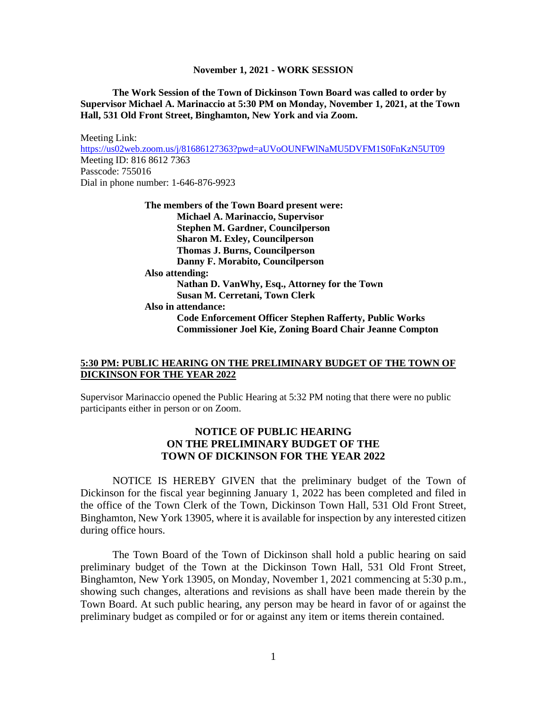**The Work Session of the Town of Dickinson Town Board was called to order by Supervisor Michael A. Marinaccio at 5:30 PM on Monday, November 1, 2021, at the Town Hall, 531 Old Front Street, Binghamton, New York and via Zoom.**

Meeting Link: <https://us02web.zoom.us/j/81686127363?pwd=aUVoOUNFWlNaMU5DVFM1S0FnKzN5UT09> Meeting ID: 816 8612 7363 Passcode: 755016 Dial in phone number: 1-646-876-9923 **The members of the Town Board present were: Michael A. Marinaccio, Supervisor Stephen M. Gardner, Councilperson**

**Sharon M. Exley, Councilperson Thomas J. Burns, Councilperson Danny F. Morabito, Councilperson Also attending: Nathan D. VanWhy, Esq., Attorney for the Town Susan M. Cerretani, Town Clerk Also in attendance: Code Enforcement Officer Stephen Rafferty, Public Works Commissioner Joel Kie, Zoning Board Chair Jeanne Compton**

## **5:30 PM: PUBLIC HEARING ON THE PRELIMINARY BUDGET OF THE TOWN OF DICKINSON FOR THE YEAR 2022**

Supervisor Marinaccio opened the Public Hearing at 5:32 PM noting that there were no public participants either in person or on Zoom.

# **NOTICE OF PUBLIC HEARING ON THE PRELIMINARY BUDGET OF THE TOWN OF DICKINSON FOR THE YEAR 2022**

NOTICE IS HEREBY GIVEN that the preliminary budget of the Town of Dickinson for the fiscal year beginning January 1, 2022 has been completed and filed in the office of the Town Clerk of the Town, Dickinson Town Hall, 531 Old Front Street, Binghamton, New York 13905, where it is available for inspection by any interested citizen during office hours.

The Town Board of the Town of Dickinson shall hold a public hearing on said preliminary budget of the Town at the Dickinson Town Hall, 531 Old Front Street, Binghamton, New York 13905, on Monday, November 1, 2021 commencing at 5:30 p.m., showing such changes, alterations and revisions as shall have been made therein by the Town Board. At such public hearing, any person may be heard in favor of or against the preliminary budget as compiled or for or against any item or items therein contained.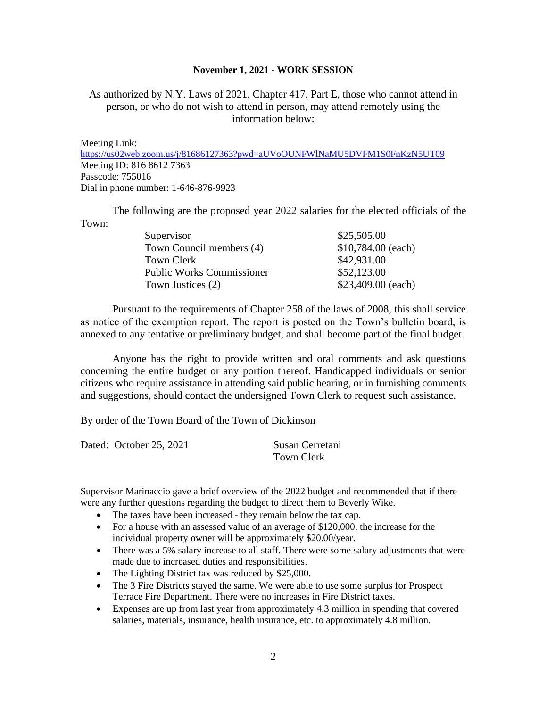As authorized by N.Y. Laws of 2021, Chapter 417, Part E, those who cannot attend in person, or who do not wish to attend in person, may attend remotely using the information below:

Meeting Link:

<https://us02web.zoom.us/j/81686127363?pwd=aUVoOUNFWlNaMU5DVFM1S0FnKzN5UT09> Meeting ID: 816 8612 7363 Passcode: 755016 Dial in phone number: 1-646-876-9923

The following are the proposed year 2022 salaries for the elected officials of the Town:

| \$25,505.00        |
|--------------------|
| \$10,784.00 (each) |
| \$42,931.00        |
| \$52,123.00        |
| \$23,409.00 (each) |
|                    |

Pursuant to the requirements of Chapter 258 of the laws of 2008, this shall service as notice of the exemption report. The report is posted on the Town's bulletin board, is annexed to any tentative or preliminary budget, and shall become part of the final budget.

Anyone has the right to provide written and oral comments and ask questions concerning the entire budget or any portion thereof. Handicapped individuals or senior citizens who require assistance in attending said public hearing, or in furnishing comments and suggestions, should contact the undersigned Town Clerk to request such assistance.

By order of the Town Board of the Town of Dickinson

|  | Dated: October 25, 2021 | Susan Cerretani |
|--|-------------------------|-----------------|
|  |                         | Town Clerk      |

Supervisor Marinaccio gave a brief overview of the 2022 budget and recommended that if there were any further questions regarding the budget to direct them to Beverly Wike.

- The taxes have been increased they remain below the tax cap.
- For a house with an assessed value of an average of \$120,000, the increase for the individual property owner will be approximately \$20.00/year.
- There was a 5% salary increase to all staff. There were some salary adjustments that were made due to increased duties and responsibilities.
- The Lighting District tax was reduced by \$25,000.
- The 3 Fire Districts stayed the same. We were able to use some surplus for Prospect Terrace Fire Department. There were no increases in Fire District taxes.
- Expenses are up from last year from approximately 4.3 million in spending that covered salaries, materials, insurance, health insurance, etc. to approximately 4.8 million.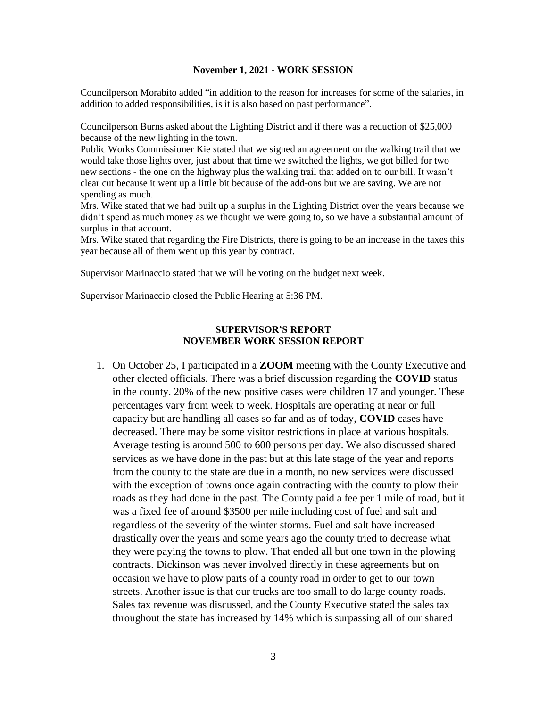Councilperson Morabito added "in addition to the reason for increases for some of the salaries, in addition to added responsibilities, is it is also based on past performance".

Councilperson Burns asked about the Lighting District and if there was a reduction of \$25,000 because of the new lighting in the town.

Public Works Commissioner Kie stated that we signed an agreement on the walking trail that we would take those lights over, just about that time we switched the lights, we got billed for two new sections - the one on the highway plus the walking trail that added on to our bill. It wasn't clear cut because it went up a little bit because of the add-ons but we are saving. We are not spending as much.

Mrs. Wike stated that we had built up a surplus in the Lighting District over the years because we didn't spend as much money as we thought we were going to, so we have a substantial amount of surplus in that account.

Mrs. Wike stated that regarding the Fire Districts, there is going to be an increase in the taxes this year because all of them went up this year by contract.

Supervisor Marinaccio stated that we will be voting on the budget next week.

Supervisor Marinaccio closed the Public Hearing at 5:36 PM.

### **SUPERVISOR'S REPORT NOVEMBER WORK SESSION REPORT**

1. On October 25, I participated in a **ZOOM** meeting with the County Executive and other elected officials. There was a brief discussion regarding the **COVID** status in the county. 20% of the new positive cases were children 17 and younger. These percentages vary from week to week. Hospitals are operating at near or full capacity but are handling all cases so far and as of today, **COVID** cases have decreased. There may be some visitor restrictions in place at various hospitals. Average testing is around 500 to 600 persons per day. We also discussed shared services as we have done in the past but at this late stage of the year and reports from the county to the state are due in a month, no new services were discussed with the exception of towns once again contracting with the county to plow their roads as they had done in the past. The County paid a fee per 1 mile of road, but it was a fixed fee of around \$3500 per mile including cost of fuel and salt and regardless of the severity of the winter storms. Fuel and salt have increased drastically over the years and some years ago the county tried to decrease what they were paying the towns to plow. That ended all but one town in the plowing contracts. Dickinson was never involved directly in these agreements but on occasion we have to plow parts of a county road in order to get to our town streets. Another issue is that our trucks are too small to do large county roads. Sales tax revenue was discussed, and the County Executive stated the sales tax throughout the state has increased by 14% which is surpassing all of our shared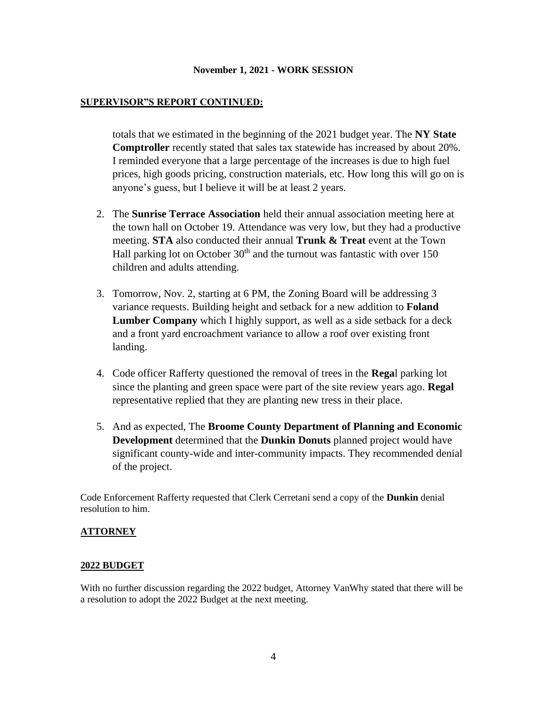## **SUPERVISOR"S REPORT CONTINUED:**

totals that we estimated in the beginning of the 2021 budget year. The **NY State Comptroller** recently stated that sales tax statewide has increased by about 20%. I reminded everyone that a large percentage of the increases is due to high fuel prices, high goods pricing, construction materials, etc. How long this will go on is anyone's guess, but I believe it will be at least 2 years.

- 2. The **Sunrise Terrace Association** held their annual association meeting here at the town hall on October 19. Attendance was very low, but they had a productive meeting. **STA** also conducted their annual **Trunk & Treat** event at the Town Hall parking lot on October  $30<sup>th</sup>$  and the turnout was fantastic with over 150 children and adults attending.
- 3. Tomorrow, Nov. 2, starting at 6 PM, the Zoning Board will be addressing 3 variance requests. Building height and setback for a new addition to **Foland Lumber Company** which I highly support, as well as a side setback for a deck and a front yard encroachment variance to allow a roof over existing front landing.
- 4. Code officer Rafferty questioned the removal of trees in the **Rega**l parking lot since the planting and green space were part of the site review years ago. **Regal** representative replied that they are planting new tress in their place.
- 5. And as expected, The **Broome County Department of Planning and Economic Development** determined that the **Dunkin Donuts** planned project would have significant county-wide and inter-community impacts. They recommended denial of the project.

Code Enforcement Rafferty requested that Clerk Cerretani send a copy of the **Dunkin** denial resolution to him.

### **ATTORNEY**

### **2022 BUDGET**

With no further discussion regarding the 2022 budget, Attorney VanWhy stated that there will be a resolution to adopt the 2022 Budget at the next meeting.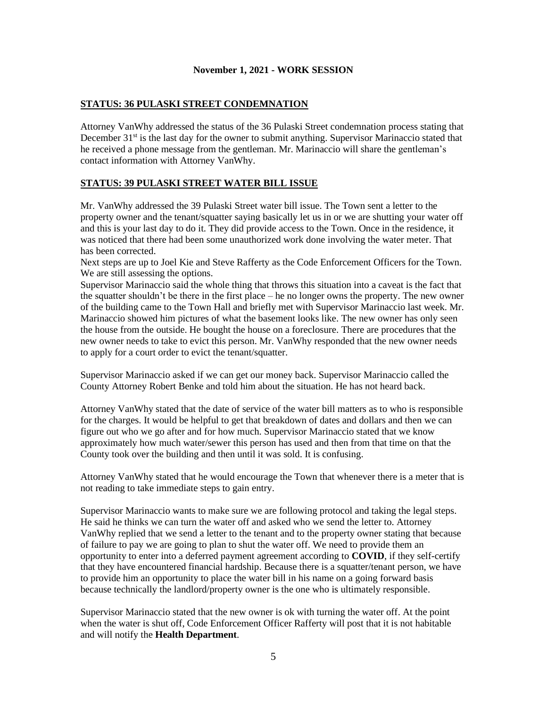## **STATUS: 36 PULASKI STREET CONDEMNATION**

Attorney VanWhy addressed the status of the 36 Pulaski Street condemnation process stating that December  $31<sup>st</sup>$  is the last day for the owner to submit anything. Supervisor Marinaccio stated that he received a phone message from the gentleman. Mr. Marinaccio will share the gentleman's contact information with Attorney VanWhy.

### **STATUS: 39 PULASKI STREET WATER BILL ISSUE**

Mr. VanWhy addressed the 39 Pulaski Street water bill issue. The Town sent a letter to the property owner and the tenant/squatter saying basically let us in or we are shutting your water off and this is your last day to do it. They did provide access to the Town. Once in the residence, it was noticed that there had been some unauthorized work done involving the water meter. That has been corrected.

Next steps are up to Joel Kie and Steve Rafferty as the Code Enforcement Officers for the Town. We are still assessing the options.

Supervisor Marinaccio said the whole thing that throws this situation into a caveat is the fact that the squatter shouldn't be there in the first place – he no longer owns the property. The new owner of the building came to the Town Hall and briefly met with Supervisor Marinaccio last week. Mr. Marinaccio showed him pictures of what the basement looks like. The new owner has only seen the house from the outside. He bought the house on a foreclosure. There are procedures that the new owner needs to take to evict this person. Mr. VanWhy responded that the new owner needs to apply for a court order to evict the tenant/squatter.

Supervisor Marinaccio asked if we can get our money back. Supervisor Marinaccio called the County Attorney Robert Benke and told him about the situation. He has not heard back.

Attorney VanWhy stated that the date of service of the water bill matters as to who is responsible for the charges. It would be helpful to get that breakdown of dates and dollars and then we can figure out who we go after and for how much. Supervisor Marinaccio stated that we know approximately how much water/sewer this person has used and then from that time on that the County took over the building and then until it was sold. It is confusing.

Attorney VanWhy stated that he would encourage the Town that whenever there is a meter that is not reading to take immediate steps to gain entry.

Supervisor Marinaccio wants to make sure we are following protocol and taking the legal steps. He said he thinks we can turn the water off and asked who we send the letter to. Attorney VanWhy replied that we send a letter to the tenant and to the property owner stating that because of failure to pay we are going to plan to shut the water off. We need to provide them an opportunity to enter into a deferred payment agreement according to **COVID**, if they self-certify that they have encountered financial hardship. Because there is a squatter/tenant person, we have to provide him an opportunity to place the water bill in his name on a going forward basis because technically the landlord/property owner is the one who is ultimately responsible.

Supervisor Marinaccio stated that the new owner is ok with turning the water off. At the point when the water is shut off, Code Enforcement Officer Rafferty will post that it is not habitable and will notify the **Health Department**.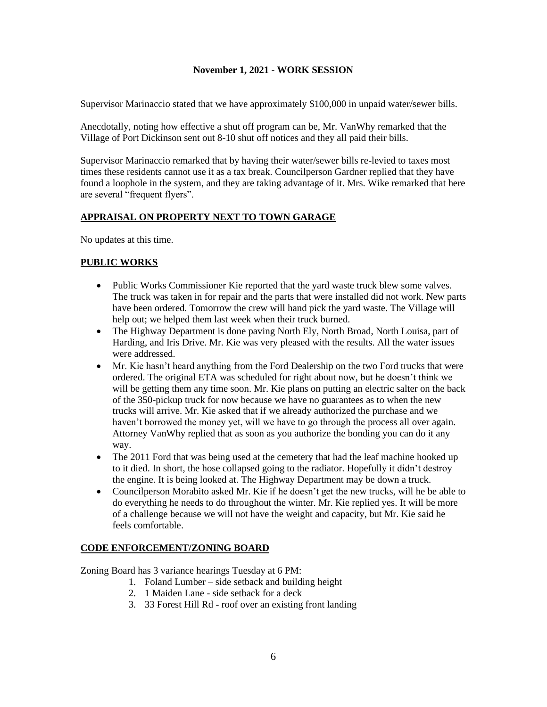Supervisor Marinaccio stated that we have approximately \$100,000 in unpaid water/sewer bills.

Anecdotally, noting how effective a shut off program can be, Mr. VanWhy remarked that the Village of Port Dickinson sent out 8-10 shut off notices and they all paid their bills.

Supervisor Marinaccio remarked that by having their water/sewer bills re-levied to taxes most times these residents cannot use it as a tax break. Councilperson Gardner replied that they have found a loophole in the system, and they are taking advantage of it. Mrs. Wike remarked that here are several "frequent flyers".

## **APPRAISAL ON PROPERTY NEXT TO TOWN GARAGE**

No updates at this time.

## **PUBLIC WORKS**

- Public Works Commissioner Kie reported that the yard waste truck blew some valves. The truck was taken in for repair and the parts that were installed did not work. New parts have been ordered. Tomorrow the crew will hand pick the yard waste. The Village will help out; we helped them last week when their truck burned.
- The Highway Department is done paving North Ely, North Broad, North Louisa, part of Harding, and Iris Drive. Mr. Kie was very pleased with the results. All the water issues were addressed.
- Mr. Kie hasn't heard anything from the Ford Dealership on the two Ford trucks that were ordered. The original ETA was scheduled for right about now, but he doesn't think we will be getting them any time soon. Mr. Kie plans on putting an electric salter on the back of the 350-pickup truck for now because we have no guarantees as to when the new trucks will arrive. Mr. Kie asked that if we already authorized the purchase and we haven't borrowed the money yet, will we have to go through the process all over again. Attorney VanWhy replied that as soon as you authorize the bonding you can do it any way.
- The 2011 Ford that was being used at the cemetery that had the leaf machine hooked up to it died. In short, the hose collapsed going to the radiator. Hopefully it didn't destroy the engine. It is being looked at. The Highway Department may be down a truck.
- Councilperson Morabito asked Mr. Kie if he doesn't get the new trucks, will he be able to do everything he needs to do throughout the winter. Mr. Kie replied yes. It will be more of a challenge because we will not have the weight and capacity, but Mr. Kie said he feels comfortable.

# **CODE ENFORCEMENT/ZONING BOARD**

Zoning Board has 3 variance hearings Tuesday at 6 PM:

- 1. Foland Lumber side setback and building height
- 2. 1 Maiden Lane side setback for a deck
- 3. 33 Forest Hill Rd roof over an existing front landing